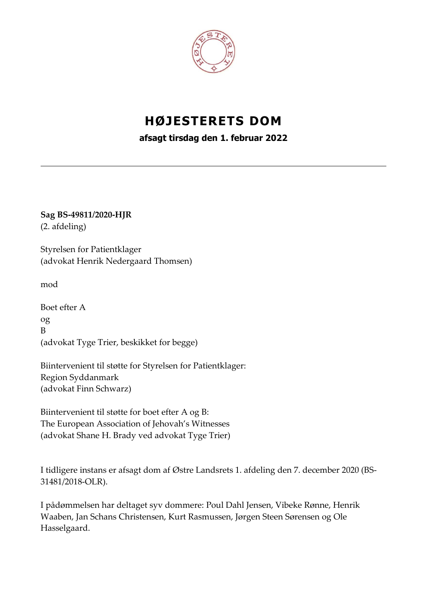

# **HØJESTERETS DOM**

**afsagt tirsdag den 1. februar 2022**

**Sag BS-49811/2020-HJR** (2. afdeling)

Styrelsen for Patientklager (advokat Henrik Nedergaard Thomsen)

mod

Boet efter A og B (advokat Tyge Trier, beskikket for begge)

Biintervenient til støtte for Styrelsen for Patientklager: Region Syddanmark (advokat Finn Schwarz)

Biintervenient til støtte for boet efter A og B: The European Association of Jehovah's Witnesses (advokat Shane H. Brady ved advokat Tyge Trier)

I tidligere instans er afsagt dom af Østre Landsrets 1. afdeling den 7. december 2020 (BS-31481/2018-OLR).

I pådømmelsen har deltaget syv dommere: Poul Dahl Jensen, Vibeke Rønne, Henrik Waaben, Jan Schans Christensen, Kurt Rasmussen, Jørgen Steen Sørensen og Ole Hasselgaard.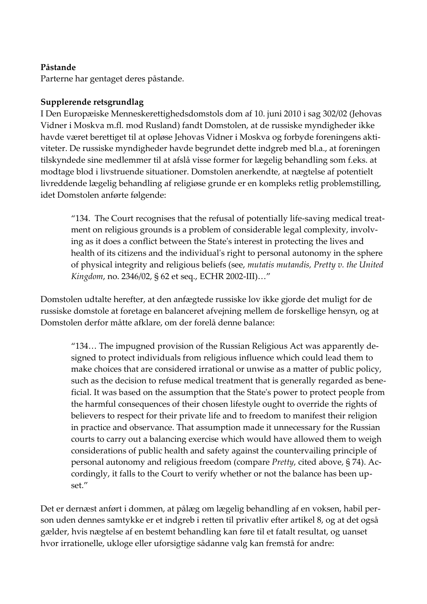# **Påstande**

Parterne har gentaget deres påstande.

# **Supplerende retsgrundlag**

I Den Europæiske Menneskerettighedsdomstols dom af 10. juni 2010 i sag 302/02 (Jehovas Vidner i Moskva m.fl. mod Rusland) fandt Domstolen, at de russiske myndigheder ikke havde været berettiget til at opløse Jehovas Vidner i Moskva og forbyde foreningens aktiviteter. De russiske myndigheder havde begrundet dette indgreb med bl.a., at foreningen tilskyndede sine medlemmer til at afslå visse former for lægelig behandling som f.eks. at modtage blod i livstruende situationer. Domstolen anerkendte, at nægtelse af potentielt livreddende lægelig behandling af religiøse grunde er en kompleks retlig problemstilling, idet Domstolen anførte følgende:

"134. The Court recognises that the refusal of potentially life-saving medical treatment on religious grounds is a problem of considerable legal complexity, involving as it does a conflict between the State's interest in protecting the lives and health of its citizens and the individual's right to personal autonomy in the sphere of physical integrity and religious beliefs (see, *mutatis mutandis, Pretty v. the United Kingdom*, no. 2346/02, § 62 et seq., ECHR 2002-III)…"

Domstolen udtalte herefter, at den anfægtede russiske lov ikke gjorde det muligt for de russiske domstole at foretage en balanceret afvejning mellem de forskellige hensyn, og at Domstolen derfor måtte afklare, om der forelå denne balance:

"134… The impugned provision of the Russian Religious Act was apparently designed to protect individuals from religious influence which could lead them to make choices that are considered irrational or unwise as a matter of public policy, such as the decision to refuse medical treatment that is generally regarded as beneficial. It was based on the assumption that the State's power to protect people from the harmful consequences of their chosen lifestyle ought to override the rights of believers to respect for their private life and to freedom to manifest their religion in practice and observance. That assumption made it unnecessary for the Russian courts to carry out a balancing exercise which would have allowed them to weigh considerations of public health and safety against the countervailing principle of personal autonomy and religious freedom (compare *Pretty*, cited above, § 74). Accordingly, it falls to the Court to verify whether or not the balance has been upset."

Det er dernæst anført i dommen, at pålæg om lægelig behandling af en voksen, habil person uden dennes samtykke er et indgreb i retten til privatliv efter artikel 8, og at det også gælder, hvis nægtelse af en bestemt behandling kan føre til et fatalt resultat, og uanset hvor irrationelle, ukloge eller uforsigtige sådanne valg kan fremstå for andre: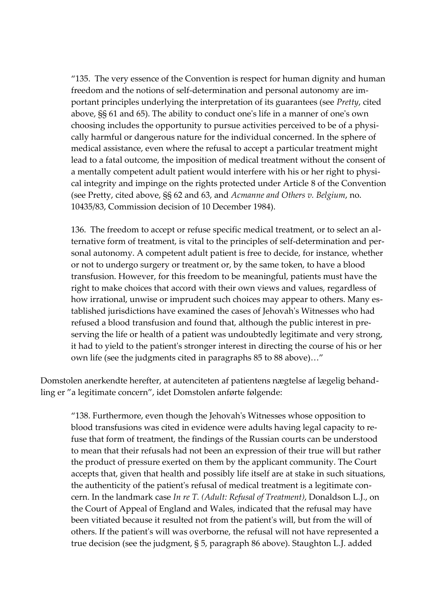"135. The very essence of the Convention is respect for human dignity and human freedom and the notions of self-determination and personal autonomy are important principles underlying the interpretation of its guarantees (see *Pretty*, cited above, §§ 61 and 65). The ability to conduct one's life in a manner of one's own choosing includes the opportunity to pursue activities perceived to be of a physically harmful or dangerous nature for the individual concerned. In the sphere of medical assistance, even where the refusal to accept a particular treatment might lead to a fatal outcome, the imposition of medical treatment without the consent of a mentally competent adult patient would interfere with his or her right to physical integrity and impinge on the rights protected under Article 8 of the Convention (see Pretty, cited above, §§ 62 and 63, and *Acmanne and Others v. Belgium*, no. 10435/83, Commission decision of 10 December 1984).

136. The freedom to accept or refuse specific medical treatment, or to select an alternative form of treatment, is vital to the principles of self-determination and personal autonomy. A competent adult patient is free to decide, for instance, whether or not to undergo surgery or treatment or, by the same token, to have a blood transfusion. However, for this freedom to be meaningful, patients must have the right to make choices that accord with their own views and values, regardless of how irrational, unwise or imprudent such choices may appear to others. Many established jurisdictions have examined the cases of Jehovah's Witnesses who had refused a blood transfusion and found that, although the public interest in preserving the life or health of a patient was undoubtedly legitimate and very strong, it had to yield to the patient's stronger interest in directing the course of his or her own life (see the judgments cited in paragraphs 85 to 88 above)…"

Domstolen anerkendte herefter, at autenciteten af patientens nægtelse af lægelig behandling er "a legitimate concern", idet Domstolen anførte følgende:

"138. Furthermore, even though the Jehovah's Witnesses whose opposition to blood transfusions was cited in evidence were adults having legal capacity to refuse that form of treatment, the findings of the Russian courts can be understood to mean that their refusals had not been an expression of their true will but rather the product of pressure exerted on them by the applicant community. The Court accepts that, given that health and possibly life itself are at stake in such situations, the authenticity of the patient's refusal of medical treatment is a legitimate concern. In the landmark case *In re T. (Adult: Refusal of Treatment)*, Donaldson L.J., on the Court of Appeal of England and Wales, indicated that the refusal may have been vitiated because it resulted not from the patient's will, but from the will of others. If the patient's will was overborne, the refusal will not have represented a true decision (see the judgment, § 5, paragraph 86 above). Staughton L.J. added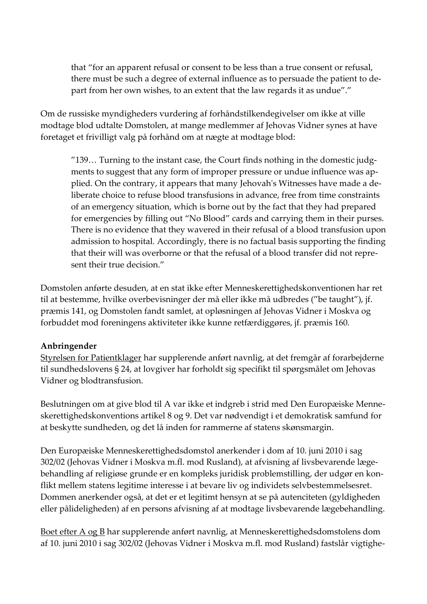that "for an apparent refusal or consent to be less than a true consent or refusal, there must be such a degree of external influence as to persuade the patient to depart from her own wishes, to an extent that the law regards it as undue"."

Om de russiske myndigheders vurdering af forhåndstilkendegivelser om ikke at ville modtage blod udtalte Domstolen, at mange medlemmer af Jehovas Vidner synes at have foretaget et frivilligt valg på forhånd om at nægte at modtage blod:

"139… Turning to the instant case, the Court finds nothing in the domestic judgments to suggest that any form of improper pressure or undue influence was applied. On the contrary, it appears that many Jehovah's Witnesses have made a deliberate choice to refuse blood transfusions in advance, free from time constraints of an emergency situation, which is borne out by the fact that they had prepared for emergencies by filling out "No Blood" cards and carrying them in their purses. There is no evidence that they wavered in their refusal of a blood transfusion upon admission to hospital. Accordingly, there is no factual basis supporting the finding that their will was overborne or that the refusal of a blood transfer did not represent their true decision."

Domstolen anførte desuden, at en stat ikke efter Menneskerettighedskonventionen har ret til at bestemme, hvilke overbevisninger der må eller ikke må udbredes ("be taught"), jf. præmis 141, og Domstolen fandt samlet, at opløsningen af Jehovas Vidner i Moskva og forbuddet mod foreningens aktiviteter ikke kunne retfærdiggøres, jf. præmis 160.

## **Anbringender**

Styrelsen for Patientklager har supplerende anført navnlig, at det fremgår af forarbejderne til sundhedslovens § 24, at lovgiver har forholdt sig specifikt til spørgsmålet om Jehovas Vidner og blodtransfusion.

Beslutningen om at give blod til A var ikke et indgreb i strid med Den Europæiske Menneskerettighedskonventions artikel 8 og 9. Det var nødvendigt i et demokratisk samfund for at beskytte sundheden, og det lå inden for rammerne af statens skønsmargin.

Den Europæiske Menneskerettighedsdomstol anerkender i dom af 10. juni 2010 i sag 302/02 (Jehovas Vidner i Moskva m.fl. mod Rusland), at afvisning af livsbevarende lægebehandling af religiøse grunde er en kompleks juridisk problemstilling, der udgør en konflikt mellem statens legitime interesse i at bevare liv og individets selvbestemmelsesret. Dommen anerkender også, at det er et legitimt hensyn at se på autenciteten (gyldigheden eller pålideligheden) af en persons afvisning af at modtage livsbevarende lægebehandling.

Boet efter A og B har supplerende anført navnlig, at Menneskerettighedsdomstolens dom af 10. juni 2010 i sag 302/02 (Jehovas Vidner i Moskva m.fl. mod Rusland) fastslår vigtighe-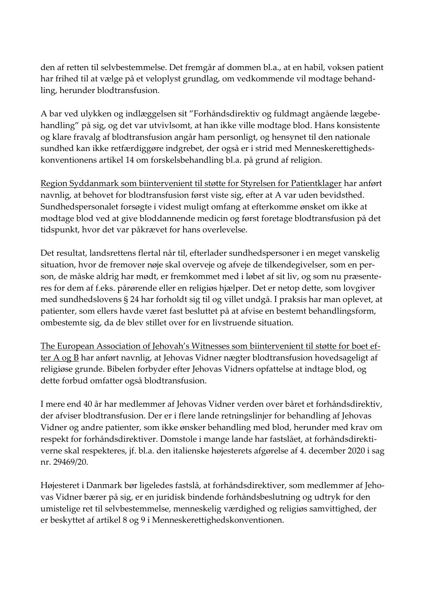den af retten til selvbestemmelse. Det fremgår af dommen bl.a., at en habil, voksen patient har frihed til at vælge på et veloplyst grundlag, om vedkommende vil modtage behandling, herunder blodtransfusion.

A bar ved ulykken og indlæggelsen sit "Forhåndsdirektiv og fuldmagt angående lægebehandling" på sig, og det var utvivlsomt, at han ikke ville modtage blod. Hans konsistente og klare fravalg af blodtransfusion angår ham personligt, og hensynet til den nationale sundhed kan ikke retfærdiggøre indgrebet, der også er i strid med Menneskerettighedskonventionens artikel 14 om forskelsbehandling bl.a. på grund af religion.

Region Syddanmark som biintervenient til støtte for Styrelsen for Patientklager har anført navnlig, at behovet for blodtransfusion først viste sig, efter at A var uden bevidsthed. Sundhedspersonalet forsøgte i videst muligt omfang at efterkomme ønsket om ikke at modtage blod ved at give bloddannende medicin og først foretage blodtransfusion på det tidspunkt, hvor det var påkrævet for hans overlevelse.

Det resultat, landsrettens flertal når til, efterlader sundhedspersoner i en meget vanskelig situation, hvor de fremover nøje skal overveje og afveje de tilkendegivelser, som en person, de måske aldrig har mødt, er fremkommet med i løbet af sit liv, og som nu præsenteres for dem af f.eks. pårørende eller en religiøs hjælper. Det er netop dette, som lovgiver med sundhedslovens § 24 har forholdt sig til og villet undgå. I praksis har man oplevet, at patienter, som ellers havde været fast besluttet på at afvise en bestemt behandlingsform, ombestemte sig, da de blev stillet over for en livstruende situation.

The European Association of Jehovah's Witnesses som biintervenient til støtte for boet efter A og B har anført navnlig, at Jehovas Vidner nægter blodtransfusion hovedsageligt af religiøse grunde. Bibelen forbyder efter Jehovas Vidners opfattelse at indtage blod, og dette forbud omfatter også blodtransfusion.

I mere end 40 år har medlemmer af Jehovas Vidner verden over båret et forhåndsdirektiv, der afviser blodtransfusion. Der er i flere lande retningslinjer for behandling af Jehovas Vidner og andre patienter, som ikke ønsker behandling med blod, herunder med krav om respekt for forhåndsdirektiver. Domstole i mange lande har fastslået, at forhåndsdirektiverne skal respekteres, jf. bl.a. den italienske højesterets afgørelse af 4. december 2020 i sag nr. 29469/20.

Højesteret i Danmark bør ligeledes fastslå, at forhåndsdirektiver, som medlemmer af Jehovas Vidner bærer på sig, er en juridisk bindende forhåndsbeslutning og udtryk for den umistelige ret til selvbestemmelse, menneskelig værdighed og religiøs samvittighed, der er beskyttet af artikel 8 og 9 i Menneskerettighedskonventionen.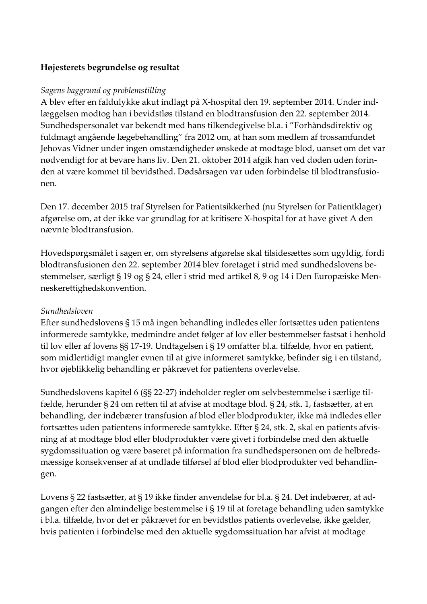# **Højesterets begrundelse og resultat**

## *Sagens baggrund og problemstilling*

A blev efter en faldulykke akut indlagt på X-hospital den 19. september 2014. Under indlæggelsen modtog han i bevidstløs tilstand en blodtransfusion den 22. september 2014. Sundhedspersonalet var bekendt med hans tilkendegivelse bl.a. i "Forhåndsdirektiv og fuldmagt angående lægebehandling" fra 2012 om, at han som medlem af trossamfundet Jehovas Vidner under ingen omstændigheder ønskede at modtage blod, uanset om det var nødvendigt for at bevare hans liv. Den 21. oktober 2014 afgik han ved døden uden forinden at være kommet til bevidsthed. Dødsårsagen var uden forbindelse til blodtransfusionen.

Den 17. december 2015 traf Styrelsen for Patientsikkerhed (nu Styrelsen for Patientklager) afgørelse om, at der ikke var grundlag for at kritisere X-hospital for at have givet A den nævnte blodtransfusion.

Hovedspørgsmålet i sagen er, om styrelsens afgørelse skal tilsidesættes som ugyldig, fordi blodtransfusionen den 22. september 2014 blev foretaget i strid med sundhedslovens bestemmelser, særligt § 19 og § 24, eller i strid med artikel 8, 9 og 14 i Den Europæiske Menneskerettighedskonvention.

## *Sundhedsloven*

Efter sundhedslovens § 15 må ingen behandling indledes eller fortsættes uden patientens informerede samtykke, medmindre andet følger af lov eller bestemmelser fastsat i henhold til lov eller af lovens §§ 17-19. Undtagelsen i § 19 omfatter bl.a. tilfælde, hvor en patient, som midlertidigt mangler evnen til at give informeret samtykke, befinder sig i en tilstand, hvor øjeblikkelig behandling er påkrævet for patientens overlevelse.

Sundhedslovens kapitel 6 (§§ 22-27) indeholder regler om selvbestemmelse i særlige tilfælde, herunder § 24 om retten til at afvise at modtage blod. § 24, stk. 1, fastsætter, at en behandling, der indebærer transfusion af blod eller blodprodukter, ikke må indledes eller fortsættes uden patientens informerede samtykke. Efter § 24, stk. 2, skal en patients afvisning af at modtage blod eller blodprodukter være givet i forbindelse med den aktuelle sygdomssituation og være baseret på information fra sundhedspersonen om de helbredsmæssige konsekvenser af at undlade tilførsel af blod eller blodprodukter ved behandlingen.

Lovens § 22 fastsætter, at § 19 ikke finder anvendelse for bl.a. § 24. Det indebærer, at adgangen efter den almindelige bestemmelse i § 19 til at foretage behandling uden samtykke i bl.a. tilfælde, hvor det er påkrævet for en bevidstløs patients overlevelse, ikke gælder, hvis patienten i forbindelse med den aktuelle sygdomssituation har afvist at modtage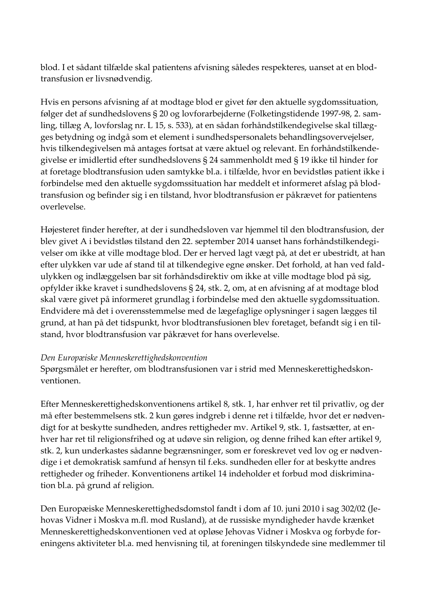blod. I et sådant tilfælde skal patientens afvisning således respekteres, uanset at en blodtransfusion er livsnødvendig.

Hvis en persons afvisning af at modtage blod er givet før den aktuelle sygdomssituation, følger det af sundhedslovens § 20 og lovforarbejderne (Folketingstidende 1997-98, 2. samling, tillæg A, lovforslag nr. L 15, s. 533), at en sådan forhåndstilkendegivelse skal tillægges betydning og indgå som et element i sundhedspersonalets behandlingsovervejelser, hvis tilkendegivelsen må antages fortsat at være aktuel og relevant. En forhåndstilkendegivelse er imidlertid efter sundhedslovens § 24 sammenholdt med § 19 ikke til hinder for at foretage blodtransfusion uden samtykke bl.a. i tilfælde, hvor en bevidstløs patient ikke i forbindelse med den aktuelle sygdomssituation har meddelt et informeret afslag på blodtransfusion og befinder sig i en tilstand, hvor blodtransfusion er påkrævet for patientens overlevelse.

Højesteret finder herefter, at der i sundhedsloven var hjemmel til den blodtransfusion, der blev givet A i bevidstløs tilstand den 22. september 2014 uanset hans forhåndstilkendegivelser om ikke at ville modtage blod. Der er herved lagt vægt på, at det er ubestridt, at han efter ulykken var ude af stand til at tilkendegive egne ønsker. Det forhold, at han ved faldulykken og indlæggelsen bar sit forhåndsdirektiv om ikke at ville modtage blod på sig, opfylder ikke kravet i sundhedslovens § 24, stk. 2, om, at en afvisning af at modtage blod skal være givet på informeret grundlag i forbindelse med den aktuelle sygdomssituation. Endvidere må det i overensstemmelse med de lægefaglige oplysninger i sagen lægges til grund, at han på det tidspunkt, hvor blodtransfusionen blev foretaget, befandt sig i en tilstand, hvor blodtransfusion var påkrævet for hans overlevelse.

## *Den Europæiske Menneskerettighedskonvention*

Spørgsmålet er herefter, om blodtransfusionen var i strid med Menneskerettighedskonventionen.

Efter Menneskerettighedskonventionens artikel 8, stk. 1, har enhver ret til privatliv, og der må efter bestemmelsens stk. 2 kun gøres indgreb i denne ret i tilfælde, hvor det er nødvendigt for at beskytte sundheden, andres rettigheder mv. Artikel 9, stk. 1, fastsætter, at enhver har ret til religionsfrihed og at udøve sin religion, og denne frihed kan efter artikel 9, stk. 2, kun underkastes sådanne begrænsninger, som er foreskrevet ved lov og er nødvendige i et demokratisk samfund af hensyn til f.eks. sundheden eller for at beskytte andres rettigheder og friheder. Konventionens artikel 14 indeholder et forbud mod diskrimination bl.a. på grund af religion.

Den Europæiske Menneskerettighedsdomstol fandt i dom af 10. juni 2010 i sag 302/02 (Jehovas Vidner i Moskva m.fl. mod Rusland), at de russiske myndigheder havde krænket Menneskerettighedskonventionen ved at opløse Jehovas Vidner i Moskva og forbyde foreningens aktiviteter bl.a. med henvisning til, at foreningen tilskyndede sine medlemmer til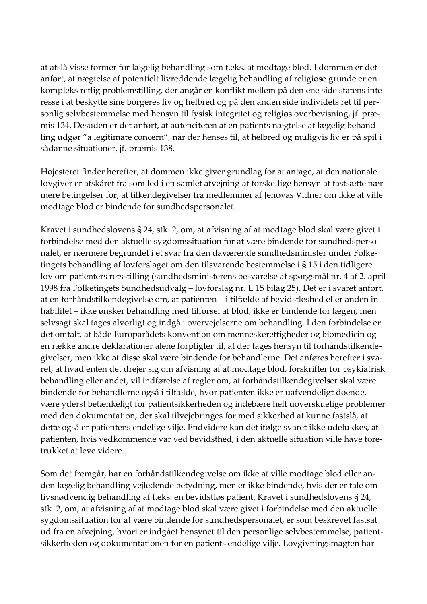at afslå visse former for lægelig behandling som f.eks. at modtage blod. I dommen er det anført, at nægtelse af potentielt livreddende lægelig behandling af religiøse grunde er en kompleks retlig problemstilling, der angår en konflikt mellem på den ene side statens interesse i at beskytte sine borgeres liv og helbred og på den anden side individets ret til personlig selvbestemmelse med hensyn til fysisk integritet og religiøs overbevisning, jf. præmis 134. Desuden er det anført, at autenciteten af en patients nægtelse af lægelig behandling udgør "a legitimate concern", når der henses til, at helbred og muligvis liv er på spil i sådanne situationer, jf. præmis 138.

Højesteret finder herefter, at dommen ikke giver grundlag for at antage, at den nationale lovgiver er afskåret fra som led i en samlet afvejning af forskellige hensyn at fastsætte nærmere betingelser for, at tilkendegivelser fra medlemmer af Jehovas Vidner om ikke at ville modtage blod er bindende for sundhedspersonalet.

Kravet i sundhedslovens § 24, stk. 2, om, at afvisning af at modtage blod skal være givet i forbindelse med den aktuelle sygdomssituation for at være bindende for sundhedspersonalet, er nærmere begrundet i et svar fra den daværende sundhedsminister under Folketingets behandling af lovforslaget om den tilsvarende bestemmelse i § 15 i den tidligere lov om patienters retsstilling (sundhedsministerens besvarelse af spørgsmål nr. 4 af 2. april 1998 fra Folketingets Sundhedsudvalg – lovforslag nr. L 15 bilag 25). Det er i svaret anført, at en forhåndstilkendegivelse om, at patienten – i tilfælde af bevidstløshed eller anden inhabilitet – ikke ønsker behandling med tilførsel af blod, ikke er bindende for lægen, men selvsagt skal tages alvorligt og indgå i overvejelserne om behandling. I den forbindelse er det omtalt, at både Europarådets konvention om menneskerettigheder og biomedicin og en række andre deklarationer alene forpligter til, at der tages hensyn til forhåndstilkendegivelser, men ikke at disse skal være bindende for behandlerne. Det anføres herefter i svaret, at hvad enten det drejer sig om afvisning af at modtage blod, forskrifter for psykiatrisk behandling eller andet, vil indførelse af regler om, at forhåndstilkendegivelser skal være bindende for behandlerne også i tilfælde, hvor patienten ikke er uafvendeligt døende, være yderst betænkeligt for patientsikkerheden og indebære helt uoverskuelige problemer med den dokumentation, der skal tilvejebringes for med sikkerhed at kunne fastslå, at dette også er patientens endelige vilje. Endvidere kan det ifølge svaret ikke udelukkes, at patienten, hvis vedkommende var ved bevidsthed, i den aktuelle situation ville have foretrukket at leve videre.

Som det fremgår, har en forhåndstilkendegivelse om ikke at ville modtage blod eller anden lægelig behandling vejledende betydning, men er ikke bindende, hvis der er tale om livsnødvendig behandling af f.eks. en bevidstløs patient. Kravet i sundhedslovens § 24, stk. 2, om, at afvisning af at modtage blod skal være givet i forbindelse med den aktuelle sygdomssituation for at være bindende for sundhedspersonalet, er som beskrevet fastsat ud fra en afvejning, hvori er indgået hensynet til den personlige selvbestemmelse, patientsikkerheden og dokumentationen for en patients endelige vilje. Lovgivningsmagten har